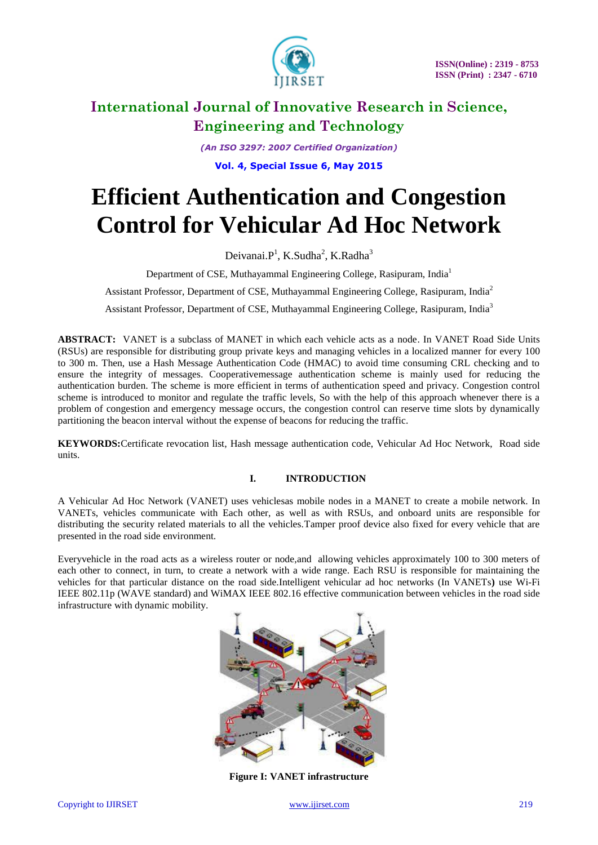

*(An ISO 3297: 2007 Certified Organization)* **Vol. 4, Special Issue 6, May 2015**

# **Efficient Authentication and Congestion Control for Vehicular Ad Hoc Network**

Deivanai.P<sup>1</sup>, K.Sudha<sup>2</sup>, K.Radha<sup>3</sup>

Department of CSE, Muthayammal Engineering College, Rasipuram, India<sup>1</sup>

Assistant Professor, Department of CSE, Muthayammal Engineering College, Rasipuram, India<sup>2</sup>

Assistant Professor, Department of CSE, Muthayammal Engineering College, Rasipuram, India<sup>3</sup>

**ABSTRACT:** VANET is a subclass of MANET in which each vehicle acts as a node. In VANET Road Side Units (RSUs) are responsible for distributing group private keys and managing vehicles in a localized manner for every 100 to 300 m. Then, use a Hash Message Authentication Code (HMAC) to avoid time consuming CRL checking and to ensure the integrity of messages. Cooperativemessage authentication scheme is mainly used for reducing the authentication burden. The scheme is more efficient in terms of authentication speed and privacy. Congestion control scheme is introduced to monitor and regulate the traffic levels, So with the help of this approach whenever there is a problem of congestion and emergency message occurs, the congestion control can reserve time slots by dynamically partitioning the beacon interval without the expense of beacons for reducing the traffic.

**KEYWORDS:**Certificate revocation list, Hash message authentication code, Vehicular Ad Hoc Network, Road side units.

### **I. INTRODUCTION**

A Vehicular Ad Hoc Network (VANET) uses vehiclesas mobile nodes in a MANET to create a mobile network. In VANETs, vehicles communicate with Each other, as well as with RSUs, and onboard units are responsible for distributing the security related materials to all the vehicles.Tamper proof device also fixed for every vehicle that are presented in the road side environment.

Everyvehicle in the road acts as a wireless router or node,and allowing vehicles approximately 100 to 300 meters of each other to connect, in turn, to create a network with a wide range. Each RSU is responsible for maintaining the vehicles for that particular distance on the road side.Intelligent vehicular ad hoc networks (In VANETs**)** use Wi-Fi IEEE 802.11p (WAVE standard) and WiMAX IEEE 802.16 effective communication between vehicles in the road side infrastructure with dynamic mobility.



**Figure I: VANET infrastructure**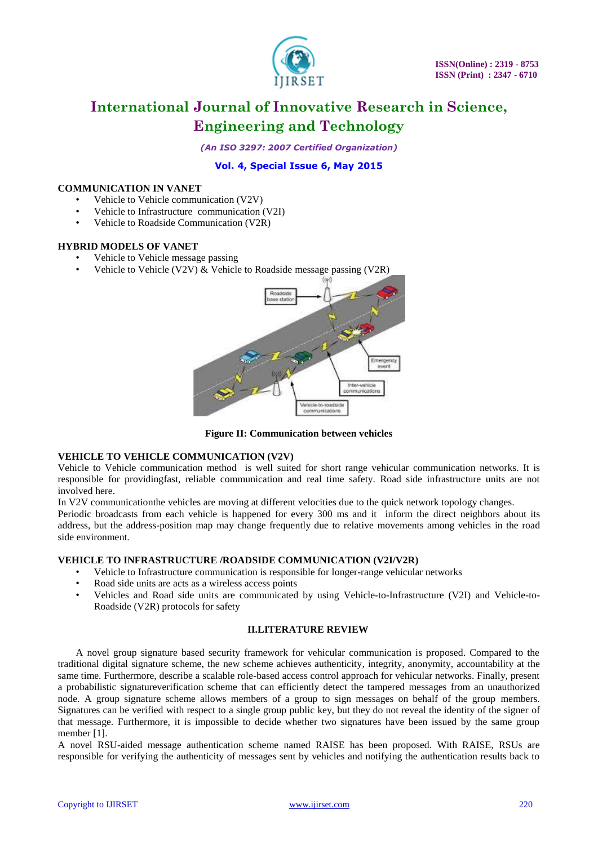

*(An ISO 3297: 2007 Certified Organization)*

### **Vol. 4, Special Issue 6, May 2015**

#### **COMMUNICATION IN VANET**

- Vehicle to Vehicle communication (V2V)
- Vehicle to Infrastructure communication (V2I)
- Vehicle to Roadside Communication (V2R)

#### **HYBRID MODELS OF VANET**

- Vehicle to Vehicle message passing
- Vehicle to Vehicle (V2V)  $\&$  Vehicle to Roadside message passing (V2R)



**Figure II: Communication between vehicles**

#### **VEHICLE TO VEHICLE COMMUNICATION (V2V)**

Vehicle to Vehicle communication method is well suited for short range vehicular communication networks. It is responsible for providingfast, reliable communication and real time safety. Road side infrastructure units are not involved here.

In V2V communicationthe vehicles are moving at different velocities due to the quick network topology changes.

Periodic broadcasts from each vehicle is happened for every 300 ms and it inform the direct neighbors about its address, but the address-position map may change frequently due to relative movements among vehicles in the road side environment.

#### **VEHICLE TO INFRASTRUCTURE /ROADSIDE COMMUNICATION (V2I/V2R)**

- Vehicle to Infrastructure communication is responsible for longer-range vehicular networks
- Road side units are acts as a wireless access points
- Vehicles and Road side units are communicated by using Vehicle-to-Infrastructure (V2I) and Vehicle-to-Roadside (V2R) protocols for safety

#### **II.LITERATURE REVIEW**

A novel group signature based security framework for vehicular communication is proposed. Compared to the traditional digital signature scheme, the new scheme achieves authenticity, integrity, anonymity, accountability at the same time. Furthermore, describe a scalable role-based access control approach for vehicular networks. Finally, present a probabilistic signatureverification scheme that can efficiently detect the tampered messages from an unauthorized node. A group signature scheme allows members of a group to sign messages on behalf of the group members. Signatures can be verified with respect to a single group public key, but they do not reveal the identity of the signer of that message. Furthermore, it is impossible to decide whether two signatures have been issued by the same group member [1].

A novel RSU-aided message authentication scheme named RAISE has been proposed. With RAISE, RSUs are responsible for verifying the authenticity of messages sent by vehicles and notifying the authentication results back to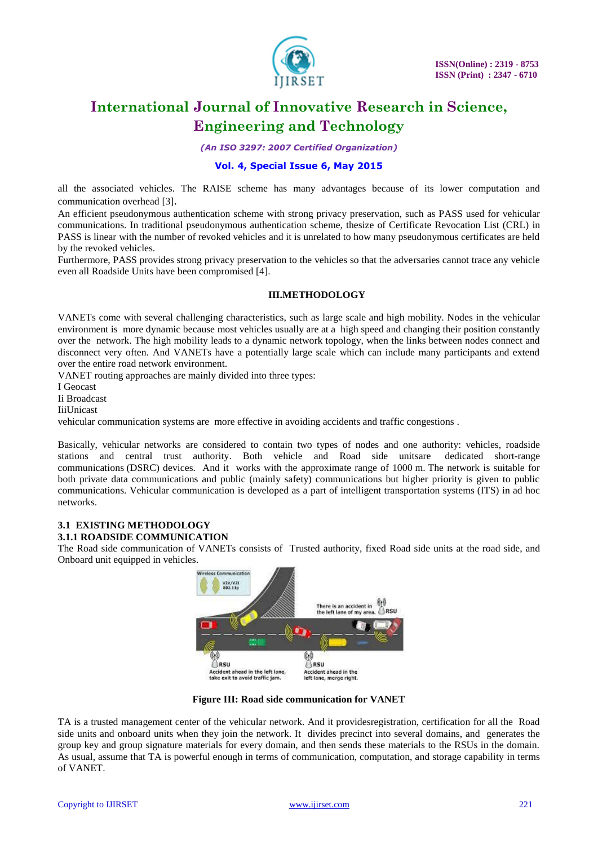

*(An ISO 3297: 2007 Certified Organization)*

### **Vol. 4, Special Issue 6, May 2015**

all the associated vehicles. The RAISE scheme has many advantages because of its lower computation and communication overhead [3].

An efficient pseudonymous authentication scheme with strong privacy preservation, such as PASS used for vehicular communications. In traditional pseudonymous authentication scheme, thesize of Certificate Revocation List (CRL) in PASS is linear with the number of revoked vehicles and it is unrelated to how many pseudonymous certificates are held by the revoked vehicles.

Furthermore, PASS provides strong privacy preservation to the vehicles so that the adversaries cannot trace any vehicle even all Roadside Units have been compromised [4].

#### **III.METHODOLOGY**

VANETs come with several challenging characteristics, such as large scale and high mobility. Nodes in the vehicular environment is more dynamic because most vehicles usually are at a high speed and changing their position constantly over the network. The high mobility leads to a dynamic network topology, when the links between nodes connect and disconnect very often. And VANETs have a potentially large scale which can include many participants and extend over the entire road network environment.

VANET routing approaches are mainly divided into three types:

I Geocast

Ii Broadcast

IiiUnicast

vehicular communication systems are more effective in avoiding accidents and traffic congestions .

Basically, vehicular networks are considered to contain two types of nodes and one authority: vehicles, roadside stations and central trust authority. Both vehicle and Road side unitsare dedicated short-range communications (DSRC) devices. And it works with the approximate range of 1000 m. The network is suitable for both private data communications and public (mainly safety) communications but higher priority is given to public communications. Vehicular communication is developed as a part of intelligent transportation systems (ITS) in ad hoc networks.

#### **3.1 EXISTING METHODOLOGY 3.1.1 ROADSIDE COMMUNICATION**

The Road side communication of VANETs consists of Trusted authority, fixed Road side units at the road side, and Onboard unit equipped in vehicles.



**Figure III: Road side communication for VANET**

TA is a trusted management center of the vehicular network. And it providesregistration, certification for all the Road side units and onboard units when they join the network. It divides precinct into several domains, and generates the group key and group signature materials for every domain, and then sends these materials to the RSUs in the domain. As usual, assume that TA is powerful enough in terms of communication, computation, and storage capability in terms of VANET.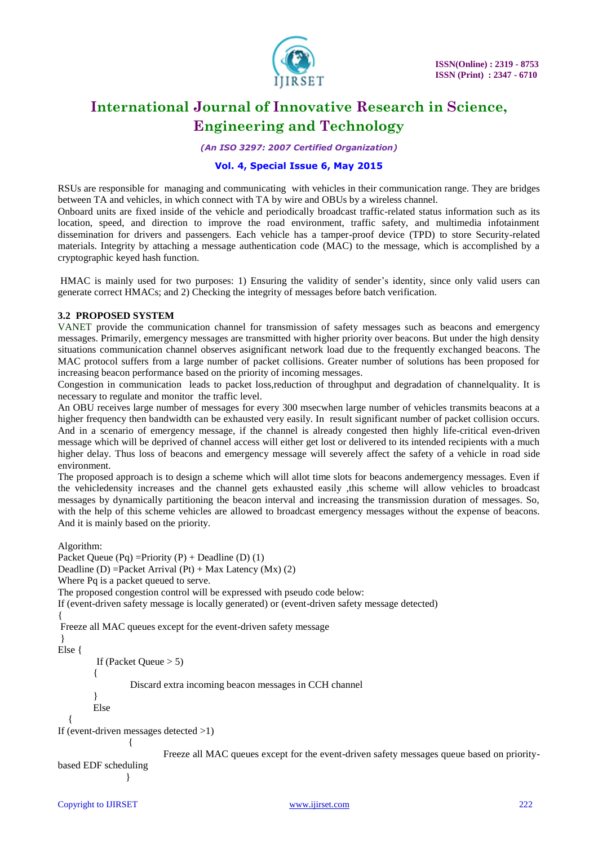

*(An ISO 3297: 2007 Certified Organization)*

#### **Vol. 4, Special Issue 6, May 2015**

RSUs are responsible for managing and communicating with vehicles in their communication range. They are bridges between TA and vehicles, in which connect with TA by wire and OBUs by a wireless channel.

Onboard units are fixed inside of the vehicle and periodically broadcast traffic-related status information such as its location, speed, and direction to improve the road environment, traffic safety, and multimedia infotainment dissemination for drivers and passengers. Each vehicle has a tamper-proof device (TPD) to store Security-related materials. Integrity by attaching a message authentication code (MAC) to the message, which is accomplished by a cryptographic keyed hash function.

HMAC is mainly used for two purposes: 1) Ensuring the validity of sender's identity, since only valid users can generate correct HMACs; and 2) Checking the integrity of messages before batch verification.

#### **3.2 PROPOSED SYSTEM**

VANET provide the communication channel for transmission of safety messages such as beacons and emergency messages. Primarily, emergency messages are transmitted with higher priority over beacons. But under the high density situations communication channel observes asignificant network load due to the frequently exchanged beacons. The MAC protocol suffers from a large number of packet collisions. Greater number of solutions has been proposed for increasing beacon performance based on the priority of incoming messages.

Congestion in communication leads to packet loss,reduction of throughput and degradation of channelquality. It is necessary to regulate and monitor the traffic level.

An OBU receives large number of messages for every 300 msecwhen large number of vehicles transmits beacons at a higher frequency then bandwidth can be exhausted very easily. In result significant number of packet collision occurs. And in a scenario of emergency message, if the channel is already congested then highly life-critical even-driven message which will be deprived of channel access will either get lost or delivered to its intended recipients with a much higher delay. Thus loss of beacons and emergency message will severely affect the safety of a vehicle in road side environment.

The proposed approach is to design a scheme which will allot time slots for beacons andemergency messages. Even if the vehicledensity increases and the channel gets exhausted easily ,this scheme will allow vehicles to broadcast messages by dynamically partitioning the beacon interval and increasing the transmission duration of messages. So, with the help of this scheme vehicles are allowed to broadcast emergency messages without the expense of beacons. And it is mainly based on the priority.

Algorithm:

```
Packet Queue (Pq) = Priority (P) + Deadline (D) (1)
Deadline (D) = Packet Arrival (Pt) + Max Latency (Mx) (2)
Where Pq is a packet queued to serve. 
The proposed congestion control will be expressed with pseudo code below: 
If (event-driven safety message is locally generated) or (event-driven safety message detected)
{
Freeze all MAC queues except for the event-driven safety message
} 
Else {
         If (Packet Queue > 5) 
\{Discard extra incoming beacon messages in CCH channel 
 } 
         Else 
\{If (event-driven messages detected >1) 
\{ Freeze all MAC queues except for the event-driven safety messages queue based on priority-
based EDF scheduling
```
}